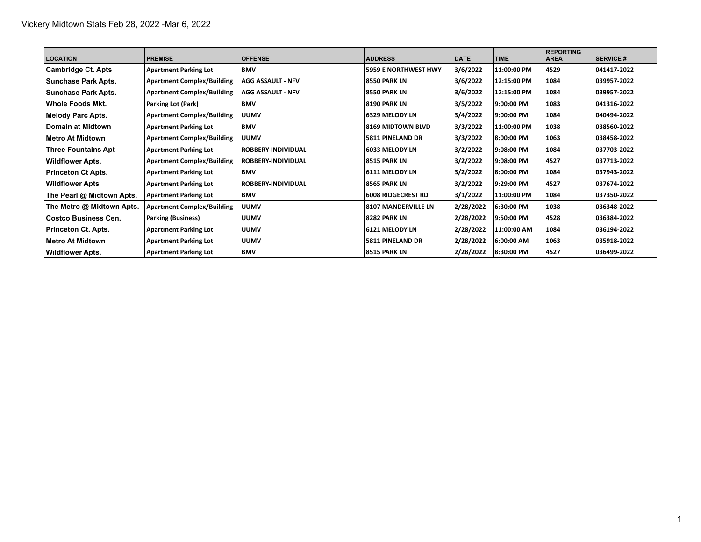| <b>LOCATION</b>            | <b>PREMISE</b>                    | <b>OFFENSE</b>            | <b>ADDRESS</b>              | <b>DATE</b> | <b>TIME</b> | <b>REPORTING</b><br><b>AREA</b> | <b>SERVICE #</b> |
|----------------------------|-----------------------------------|---------------------------|-----------------------------|-------------|-------------|---------------------------------|------------------|
| Cambridge Ct. Apts         | <b>Apartment Parking Lot</b>      | <b>BMV</b>                | <b>5959 E NORTHWEST HWY</b> | 3/6/2022    | 11:00:00 PM | 4529                            | 041417-2022      |
| <b>Sunchase Park Apts.</b> | <b>Apartment Complex/Building</b> | AGG ASSAULT - NFV         | <b>8550 PARK LN</b>         | 3/6/2022    | 12:15:00 PM | 1084                            | 039957-2022      |
| <b>Sunchase Park Apts.</b> | <b>Apartment Complex/Building</b> | AGG ASSAULT - NFV         | <b>8550 PARK LN</b>         | 3/6/2022    | 12:15:00 PM | 1084                            | 039957-2022      |
| Whole Foods Mkt.           | Parking Lot (Park)                | <b>BMV</b>                | <b>8190 PARK LN</b>         | 3/5/2022    | 9:00:00 PM  | 1083                            | 041316-2022      |
| Melody Parc Apts.          | <b>Apartment Complex/Building</b> | <b>UUMV</b>               | <b>6329 MELODY LN</b>       | 3/4/2022    | 9:00:00 PM  | 1084                            | 040494-2022      |
| ∣Domain at Midtown         | <b>Apartment Parking Lot</b>      | <b>BMV</b>                | <b>8169 MIDTOWN BLVD</b>    | 3/3/2022    | 11:00:00 PM | 1038                            | 038560-2022      |
| ∣Metro At Midtown          | <b>Apartment Complex/Building</b> | <b>UUMV</b>               | <b>5811 PINELAND DR</b>     | 3/3/2022    | 8:00:00 PM  | 1063                            | 038458-2022      |
| <b>Three Fountains Apt</b> | <b>Apartment Parking Lot</b>      | <b>ROBBERY-INDIVIDUAL</b> | 6033 MELODY LN              | 3/2/2022    | 9:08:00 PM  | 1084                            | 037703-2022      |
| <b>Wildflower Apts.</b>    | <b>Apartment Complex/Building</b> | <b>ROBBERY-INDIVIDUAL</b> | <b>8515 PARK LN</b>         | 3/2/2022    | 9:08:00 PM  | 4527                            | 037713 2022      |
| Princeton Ct Apts.         | <b>Apartment Parking Lot</b>      | <b>BMV</b>                | 6111 MELODY LN              | 3/2/2022    | 8:00:00 PM  | 1084                            | 037943-2022      |
| Wildflower Apts            | <b>Apartment Parking Lot</b>      | <b>ROBBERY-INDIVIDUAL</b> | <b>8565 PARK LN</b>         | 3/2/2022    | 19:29:00 PM | 4527                            | 037674-2022      |
| The Pearl @ Midtown Apts.  | <b>Apartment Parking Lot</b>      | <b>BMV</b>                | <b>6008 RIDGECREST RD</b>   | 3/1/2022    | 11:00:00 PM | 1084                            | 037350-2022      |
| The Metro @ Midtown Apts.  | <b>Apartment Complex/Building</b> | <b>UUMV</b>               | <b>8107 MANDERVILLE LN</b>  | 2/28/2022   | 6:30:00 PM  | 1038                            | 036348-2022      |
| ∣Costco Business Cen.      | <b>Parking (Business)</b>         | <b>UUMV</b>               | <b>8282 PARK LN</b>         | 2/28/2022   | 9:50:00 PM  | 4528                            | 036384-2022      |
| Princeton Ct. Apts.        | <b>Apartment Parking Lot</b>      | <b>UUMV</b>               | 6121 MELODY LN              | 2/28/2022   | 11:00:00 AM | 1084                            | 036194-2022      |
| ∣Metro At Midtown          | <b>Apartment Parking Lot</b>      | <b>UUMV</b>               | <b>5811 PINELAND DR</b>     | 2/28/2022   | 6:00:00 AM  | 1063                            | 035918-2022      |
| <b>Wildflower Apts.</b>    | <b>Apartment Parking Lot</b>      | <b>BMV</b>                | 8515 PARK LN                | 2/28/2022   | 8:30:00 PM  | 4527                            | 036499-2022      |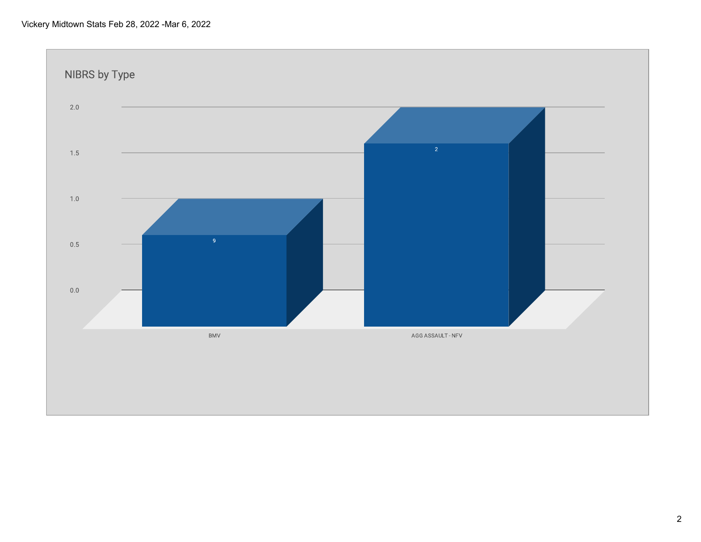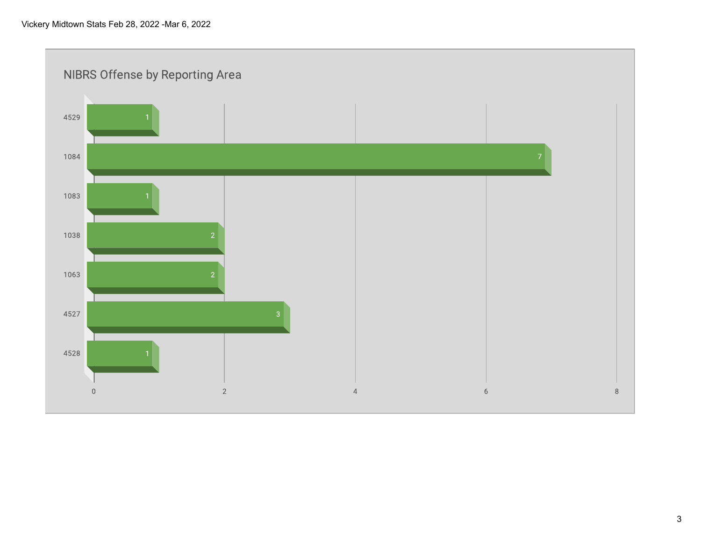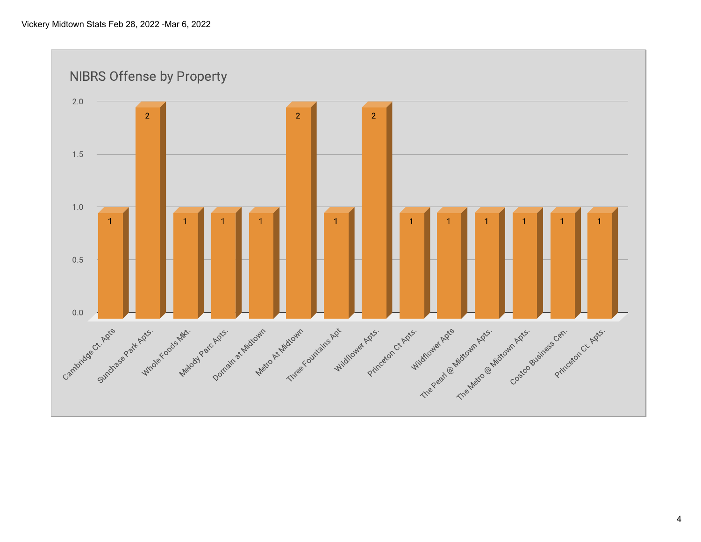**NIBRS Offense by Property**  $2.0$  $\overline{2}$  $\overline{2}$  $\overline{2}$ 1.5  $1.0$  $0.5$  $0.0\,$ Carmidos Sundrage For Mindig & Cooler Mindig & Mindig & Mindig Back outside A Mindig And Science And Contrating Back of Mindig And Science of Mindig And Science of Mindig And Science of Mindig And Science of Mindig And Sci